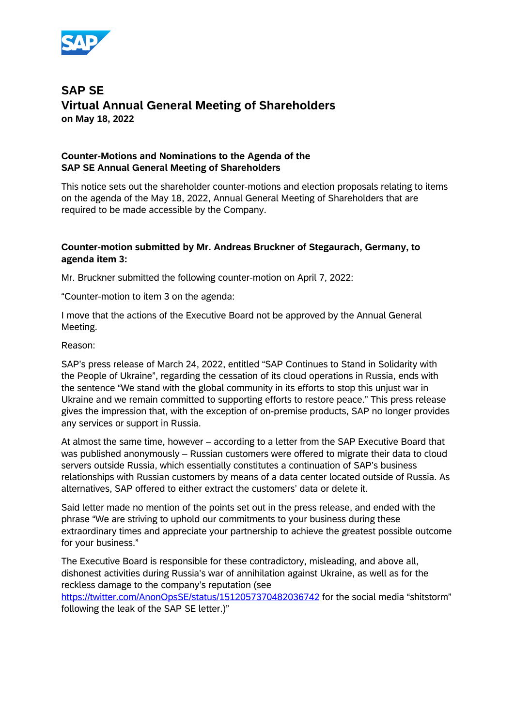

# **SAP SE Virtual Annual General Meeting of Shareholders on May 18, 2022**

### **Counter-Motions and Nominations to the Agenda of the SAP SE Annual General Meeting of Shareholders**

This notice sets out the shareholder counter-motions and election proposals relating to items on the agenda of the May 18, 2022, Annual General Meeting of Shareholders that are required to be made accessible by the Company.

#### **Counter-motion submitted by Mr. Andreas Bruckner of Stegaurach, Germany, to agenda item 3:**

Mr. Bruckner submitted the following counter-motion on April 7, 2022:

"Counter-motion to item 3 on the agenda:

I move that the actions of the Executive Board not be approved by the Annual General Meeting.

#### Reason:

SAP's press release of March 24, 2022, entitled "SAP Continues to Stand in Solidarity with the People of Ukraine", regarding the cessation of its cloud operations in Russia, ends with the sentence "We stand with the global community in its efforts to stop this unjust war in Ukraine and we remain committed to supporting efforts to restore peace." This press release gives the impression that, with the exception of on-premise products, SAP no longer provides any services or support in Russia.

At almost the same time, however – according to a letter from the SAP Executive Board that was published anonymously – Russian customers were offered to migrate their data to cloud servers outside Russia, which essentially constitutes a continuation of SAP's business relationships with Russian customers by means of a data center located outside of Russia. As alternatives, SAP offered to either extract the customers' data or delete it.

Said letter made no mention of the points set out in the press release, and ended with the phrase "We are striving to uphold our commitments to your business during these extraordinary times and appreciate your partnership to achieve the greatest possible outcome for your business."

The Executive Board is responsible for these contradictory, misleading, and above all, dishonest activities during Russia's war of annihilation against Ukraine, as well as for the reckless damage to the company's reputation (see

[https://twitter.com/AnonOpsSE/status/1512057370482036742](https://eur03.safelinks.protection.outlook.com/?url=https%3A%2F%2Ftwitter.com%2FAnonOpsSE%2Fstatus%2F1512057370482036742&data=04%7C01%7Cinvestor%40sap.com%7C0669032180b04ac1c10c08da18b3e2ef%7C42f7676cf455423c82f6dc2d99791af7%7C0%7C0%7C637849458243220524%7CUnknown%7CTWFpbGZsb3d8eyJWIjoiMC4wLjAwMDAiLCJQIjoiV2luMzIiLCJBTiI6Ik1haWwiLCJXVCI6Mn0%3D%7C2000&sdata=lorwTa9UH0cL3ppmdTFy7AkN%2BVM0p%2F4zjEMQMqMf6HM%3D&reserved=0) for the social media "shitstorm" following the leak of the SAP SE letter.)"